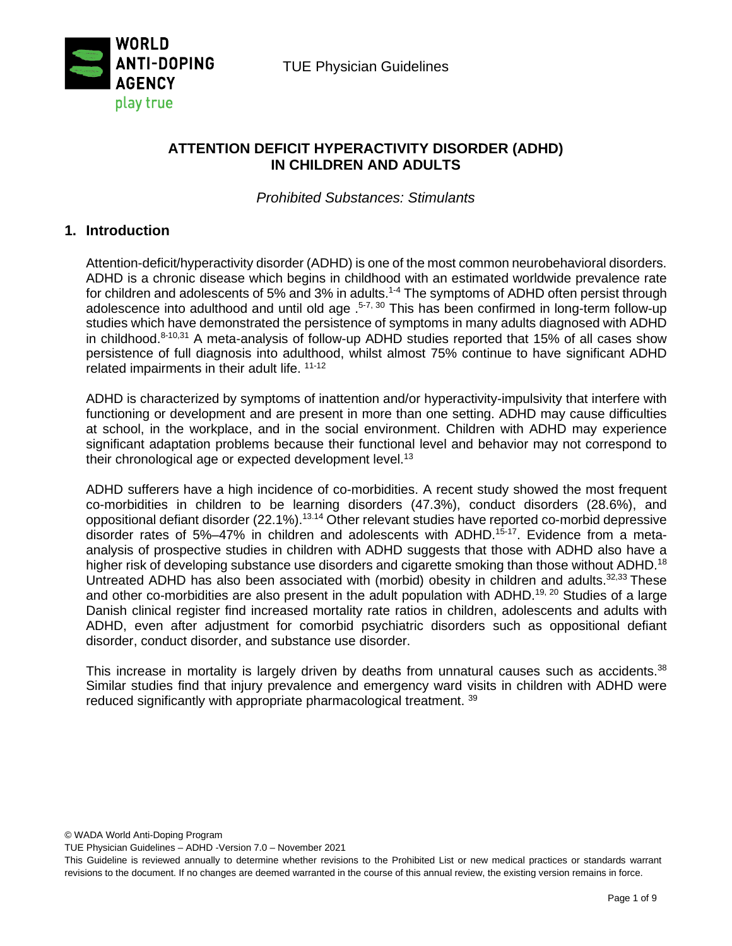

TUE Physician Guidelines

# **ATTENTION DEFICIT HYPERACTIVITY DISORDER (ADHD) IN CHILDREN AND ADULTS**

*Prohibited Substances: Stimulants*

## **1. Introduction**

Attention-deficit/hyperactivity disorder (ADHD) is one of the most common neurobehavioral disorders. ADHD is a chronic disease which begins in childhood with an estimated worldwide prevalence rate for children and adolescents of 5% and 3% in adults.<sup>1-4</sup> The symptoms of ADHD often persist through adolescence into adulthood and until old age  $.5-7, 30$  This has been confirmed in long-term follow-up studies which have demonstrated the persistence of symptoms in many adults diagnosed with ADHD in childhood. $8-10,31$  A meta-analysis of follow-up ADHD studies reported that 15% of all cases show persistence of full diagnosis into adulthood, whilst almost 75% continue to have significant ADHD related impairments in their adult life. 11-12

ADHD is characterized by symptoms of inattention and/or hyperactivity-impulsivity that interfere with functioning or development and are present in more than one setting. ADHD may cause difficulties at school, in the workplace, and in the social environment. Children with ADHD may experience significant adaptation problems because their functional level and behavior may not correspond to their chronological age or expected development level.<sup>13</sup>

ADHD sufferers have a high incidence of co-morbidities. A recent study showed the most frequent co-morbidities in children to be learning disorders (47.3%), conduct disorders (28.6%), and oppositional defiant disorder (22.1%).13.14 Other relevant studies have reported co-morbid depressive disorder rates of 5%–47% in children and adolescents with ADHD.<sup>15-17</sup>. Evidence from a metaanalysis of prospective studies in children with ADHD suggests that those with ADHD also have a higher risk of developing substance use disorders and cigarette smoking than those without ADHD.<sup>18</sup> Untreated ADHD has also been associated with (morbid) obesity in children and adults.<sup>32,33</sup> These and other co-morbidities are also present in the adult population with ADHD.<sup>19, 20</sup> Studies of a large Danish clinical register find increased mortality rate ratios in children, adolescents and adults with ADHD, even after adjustment for comorbid psychiatric disorders such as oppositional defiant disorder, conduct disorder, and substance use disorder.

This increase in mortality is largely driven by deaths from unnatural causes such as accidents.<sup>38</sup> Similar studies find that injury prevalence and emergency ward visits in children with ADHD were reduced significantly with appropriate pharmacological treatment. 39

© WADA World Anti-Doping Program

TUE Physician Guidelines – ADHD -Version 7.0 – November 2021

This Guideline is reviewed annually to determine whether revisions to the Prohibited List or new medical practices or standards warrant revisions to the document. If no changes are deemed warranted in the course of this annual review, the existing version remains in force.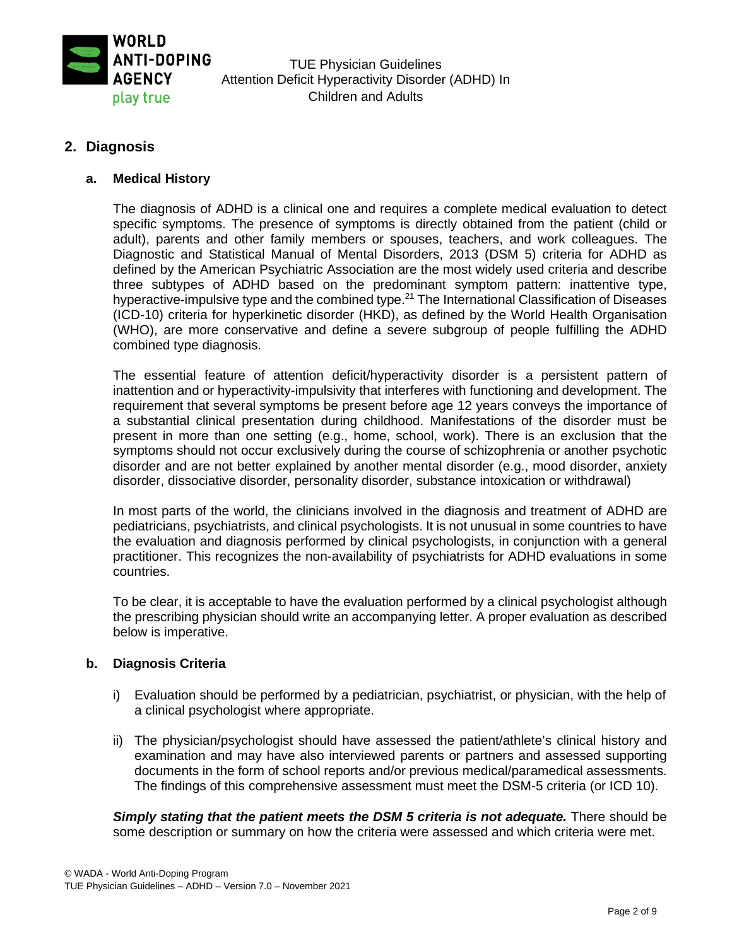

TUE Physician Guidelines Attention Deficit Hyperactivity Disorder (ADHD) In Children and Adults

## **2. Diagnosis**

### **a. Medical History**

The diagnosis of ADHD is a clinical one and requires a complete medical evaluation to detect specific symptoms. The presence of symptoms is directly obtained from the patient (child or adult), parents and other family members or spouses, teachers, and work colleagues. The Diagnostic and Statistical Manual of Mental Disorders, 2013 (DSM 5) criteria for ADHD as defined by the American Psychiatric Association are the most widely used criteria and describe three subtypes of ADHD based on the predominant symptom pattern: inattentive type, hyperactive-impulsive type and the combined type.<sup>21</sup> The International Classification of Diseases (ICD-10) criteria for hyperkinetic disorder (HKD), as defined by the World Health Organisation (WHO), are more conservative and define a severe subgroup of people fulfilling the ADHD combined type diagnosis.

The essential feature of attention deficit/hyperactivity disorder is a persistent pattern of inattention and or hyperactivity-impulsivity that interferes with functioning and development. The requirement that several symptoms be present before age 12 years conveys the importance of a substantial clinical presentation during childhood. Manifestations of the disorder must be present in more than one setting (e.g., home, school, work). There is an exclusion that the symptoms should not occur exclusively during the course of schizophrenia or another psychotic disorder and are not better explained by another mental disorder (e.g., mood disorder, anxiety disorder, dissociative disorder, personality disorder, substance intoxication or withdrawal)

In most parts of the world, the clinicians involved in the diagnosis and treatment of ADHD are pediatricians, psychiatrists, and clinical psychologists. It is not unusual in some countries to have the evaluation and diagnosis performed by clinical psychologists, in conjunction with a general practitioner. This recognizes the non-availability of psychiatrists for ADHD evaluations in some countries.

To be clear, it is acceptable to have the evaluation performed by a clinical psychologist although the prescribing physician should write an accompanying letter. A proper evaluation as described below is imperative.

### **b. Diagnosis Criteria**

- i) Evaluation should be performed by a pediatrician, psychiatrist, or physician, with the help of a clinical psychologist where appropriate.
- ii) The physician/psychologist should have assessed the patient/athlete's clinical history and examination and may have also interviewed parents or partners and assessed supporting documents in the form of school reports and/or previous medical/paramedical assessments. The findings of this comprehensive assessment must meet the DSM-5 criteria (or ICD 10).

**Simply stating that the patient meets the DSM 5 criteria is not adequate.** There should be some description or summary on how the criteria were assessed and which criteria were met.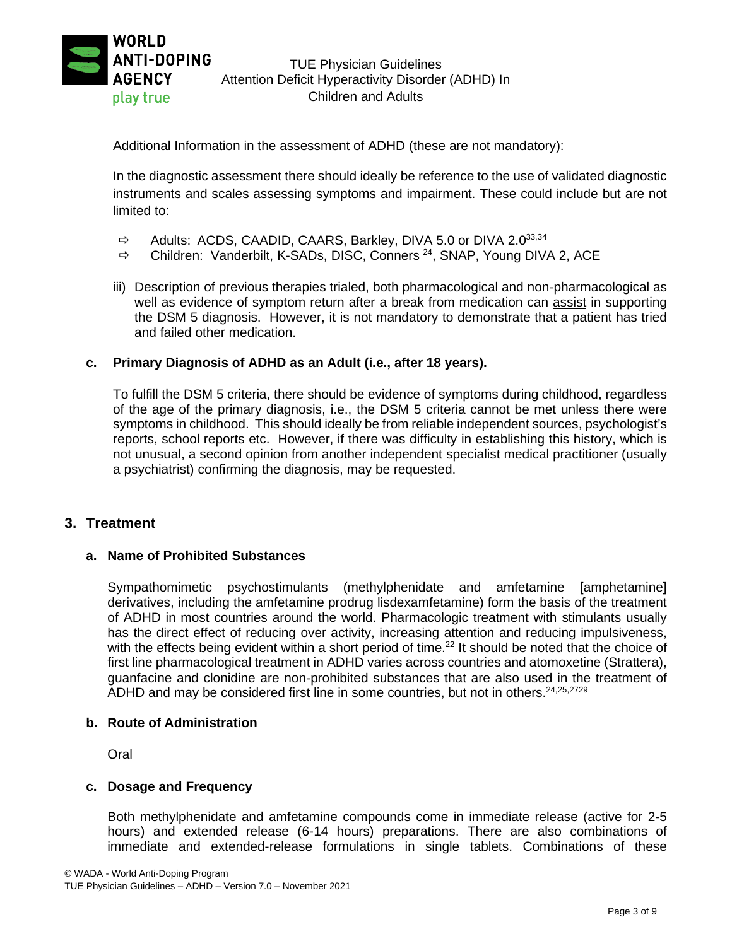

Additional Information in the assessment of ADHD (these are not mandatory):

In the diagnostic assessment there should ideally be reference to the use of validated diagnostic instruments and scales assessing symptoms and impairment. These could include but are not limited to:

- $\Rightarrow$  Adults: ACDS, CAADID, CAARS, Barkley, DIVA 5.0 or DIVA 2.033,34
- $\Rightarrow$  Children: Vanderbilt, K-SADs, DISC, Conners <sup>24</sup>, SNAP, Young DIVA 2, ACE
- iii) Description of previous therapies trialed, both pharmacological and non-pharmacological as well as evidence of symptom return after a break from medication can assist in supporting the DSM 5 diagnosis. However, it is not mandatory to demonstrate that a patient has tried and failed other medication.

### **c. Primary Diagnosis of ADHD as an Adult (i.e., after 18 years).**

To fulfill the DSM 5 criteria, there should be evidence of symptoms during childhood, regardless of the age of the primary diagnosis, i.e., the DSM 5 criteria cannot be met unless there were symptoms in childhood. This should ideally be from reliable independent sources, psychologist's reports, school reports etc. However, if there was difficulty in establishing this history, which is not unusual, a second opinion from another independent specialist medical practitioner (usually a psychiatrist) confirming the diagnosis, may be requested.

#### **3. Treatment**

#### **a. Name of Prohibited Substances**

Sympathomimetic psychostimulants (methylphenidate and amfetamine [amphetamine] derivatives, including the amfetamine prodrug lisdexamfetamine) form the basis of the treatment of ADHD in most countries around the world. Pharmacologic treatment with stimulants usually has the direct effect of reducing over activity, increasing attention and reducing impulsiveness, with the effects being evident within a short period of time.<sup>22</sup> It should be noted that the choice of first line pharmacological treatment in ADHD varies across countries and atomoxetine (Strattera), guanfacine and clonidine are non-prohibited substances that are also used in the treatment of ADHD and may be considered first line in some countries, but not in others.<sup>24,25,2729</sup>

#### **b. Route of Administration**

Oral

#### **c. Dosage and Frequency**

Both methylphenidate and amfetamine compounds come in immediate release (active for 2-5 hours) and extended release (6-14 hours) preparations. There are also combinations of immediate and extended-release formulations in single tablets. Combinations of these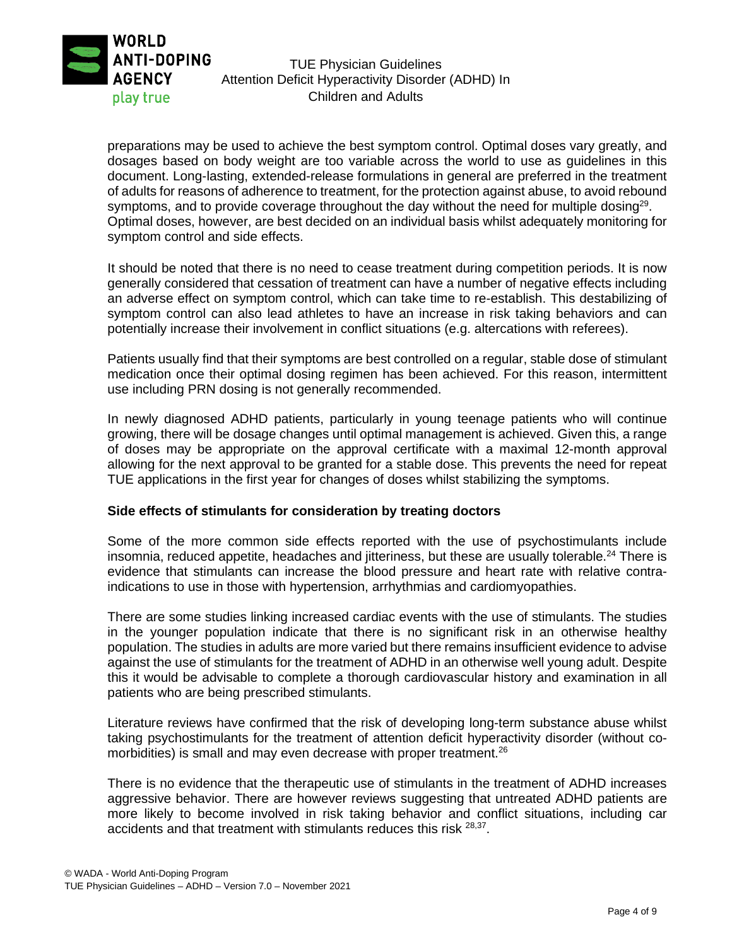

## TUE Physician Guidelines Attention Deficit Hyperactivity Disorder (ADHD) In Children and Adults

preparations may be used to achieve the best symptom control. Optimal doses vary greatly, and dosages based on body weight are too variable across the world to use as guidelines in this document. Long-lasting, extended-release formulations in general are preferred in the treatment of adults for reasons of adherence to treatment, for the protection against abuse, to avoid rebound symptoms, and to provide coverage throughout the day without the need for multiple dosing<sup>29</sup>. Optimal doses, however, are best decided on an individual basis whilst adequately monitoring for symptom control and side effects.

It should be noted that there is no need to cease treatment during competition periods. It is now generally considered that cessation of treatment can have a number of negative effects including an adverse effect on symptom control, which can take time to re-establish. This destabilizing of symptom control can also lead athletes to have an increase in risk taking behaviors and can potentially increase their involvement in conflict situations (e.g. altercations with referees).

Patients usually find that their symptoms are best controlled on a regular, stable dose of stimulant medication once their optimal dosing regimen has been achieved. For this reason, intermittent use including PRN dosing is not generally recommended.

In newly diagnosed ADHD patients, particularly in young teenage patients who will continue growing, there will be dosage changes until optimal management is achieved. Given this, a range of doses may be appropriate on the approval certificate with a maximal 12-month approval allowing for the next approval to be granted for a stable dose. This prevents the need for repeat TUE applications in the first year for changes of doses whilst stabilizing the symptoms.

#### **Side effects of stimulants for consideration by treating doctors**

Some of the more common side effects reported with the use of psychostimulants include insomnia, reduced appetite, headaches and jitteriness, but these are usually tolerable.<sup>24</sup> There is evidence that stimulants can increase the blood pressure and heart rate with relative contraindications to use in those with hypertension, arrhythmias and cardiomyopathies.

There are some studies linking increased cardiac events with the use of stimulants. The studies in the younger population indicate that there is no significant risk in an otherwise healthy population. The studies in adults are more varied but there remains insufficient evidence to advise against the use of stimulants for the treatment of ADHD in an otherwise well young adult. Despite this it would be advisable to complete a thorough cardiovascular history and examination in all patients who are being prescribed stimulants.

Literature reviews have confirmed that the risk of developing long-term substance abuse whilst taking psychostimulants for the treatment of attention deficit hyperactivity disorder (without comorbidities) is small and may even decrease with proper treatment.<sup>26</sup>

There is no evidence that the therapeutic use of stimulants in the treatment of ADHD increases aggressive behavior. There are however reviews suggesting that untreated ADHD patients are more likely to become involved in risk taking behavior and conflict situations, including car accidents and that treatment with stimulants reduces this risk <sup>28,37</sup>.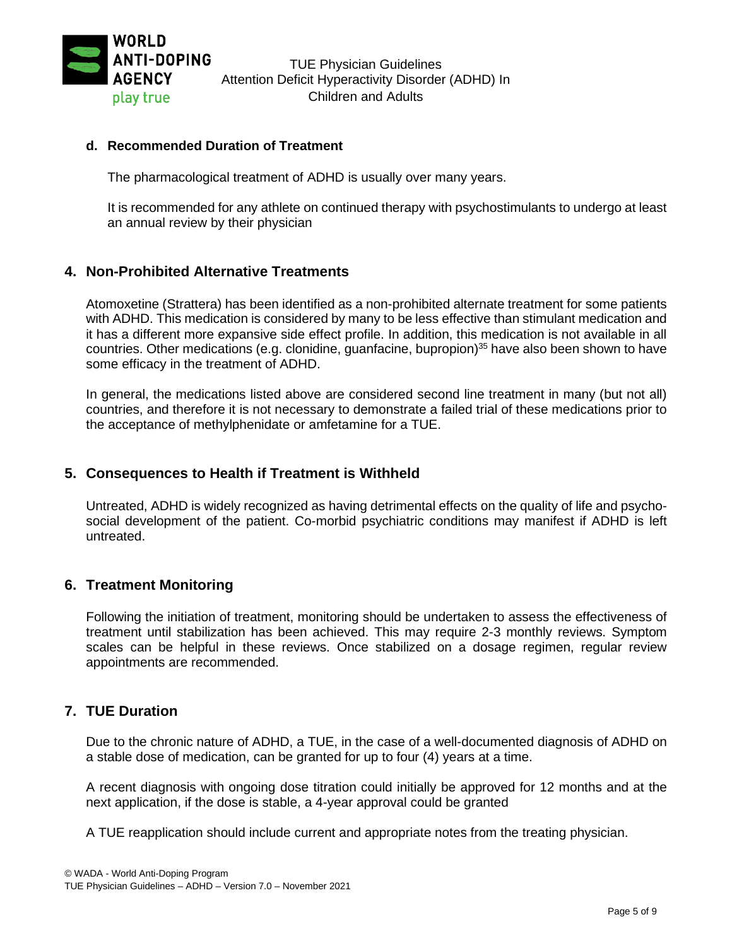

### **d. Recommended Duration of Treatment**

The pharmacological treatment of ADHD is usually over many years.

It is recommended for any athlete on continued therapy with psychostimulants to undergo at least an annual review by their physician

### **4. Non-Prohibited Alternative Treatments**

Atomoxetine (Strattera) has been identified as a non-prohibited alternate treatment for some patients with ADHD. This medication is considered by many to be less effective than stimulant medication and it has a different more expansive side effect profile. In addition, this medication is not available in all countries. Other medications (e.g. clonidine, guanfacine, bupropion)<sup>35</sup> have also been shown to have some efficacy in the treatment of ADHD.

In general, the medications listed above are considered second line treatment in many (but not all) countries, and therefore it is not necessary to demonstrate a failed trial of these medications prior to the acceptance of methylphenidate or amfetamine for a TUE.

## **5. Consequences to Health if Treatment is Withheld**

Untreated, ADHD is widely recognized as having detrimental effects on the quality of life and psychosocial development of the patient. Co-morbid psychiatric conditions may manifest if ADHD is left untreated.

### **6. Treatment Monitoring**

Following the initiation of treatment, monitoring should be undertaken to assess the effectiveness of treatment until stabilization has been achieved. This may require 2-3 monthly reviews. Symptom scales can be helpful in these reviews. Once stabilized on a dosage regimen, regular review appointments are recommended.

## **7. TUE Duration**

Due to the chronic nature of ADHD, a TUE, in the case of a well-documented diagnosis of ADHD on a stable dose of medication, can be granted for up to four (4) years at a time.

A recent diagnosis with ongoing dose titration could initially be approved for 12 months and at the next application, if the dose is stable, a 4-year approval could be granted

A TUE reapplication should include current and appropriate notes from the treating physician.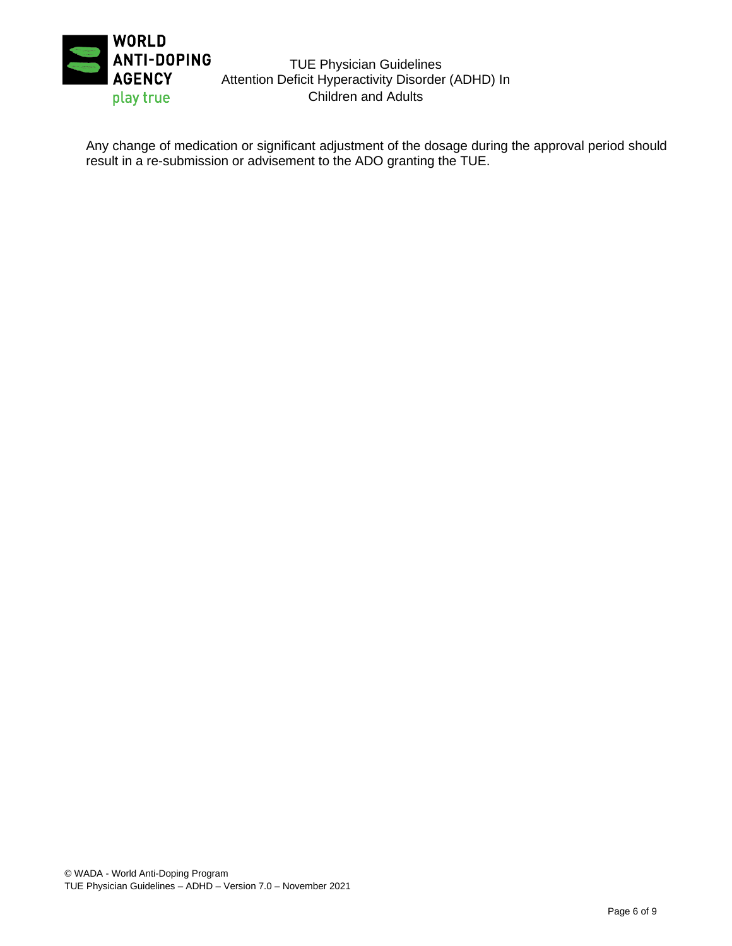

TUE Physician Guidelines Attention Deficit Hyperactivity Disorder (ADHD) In Children and Adults

Any change of medication or significant adjustment of the dosage during the approval period should result in a re-submission or advisement to the ADO granting the TUE.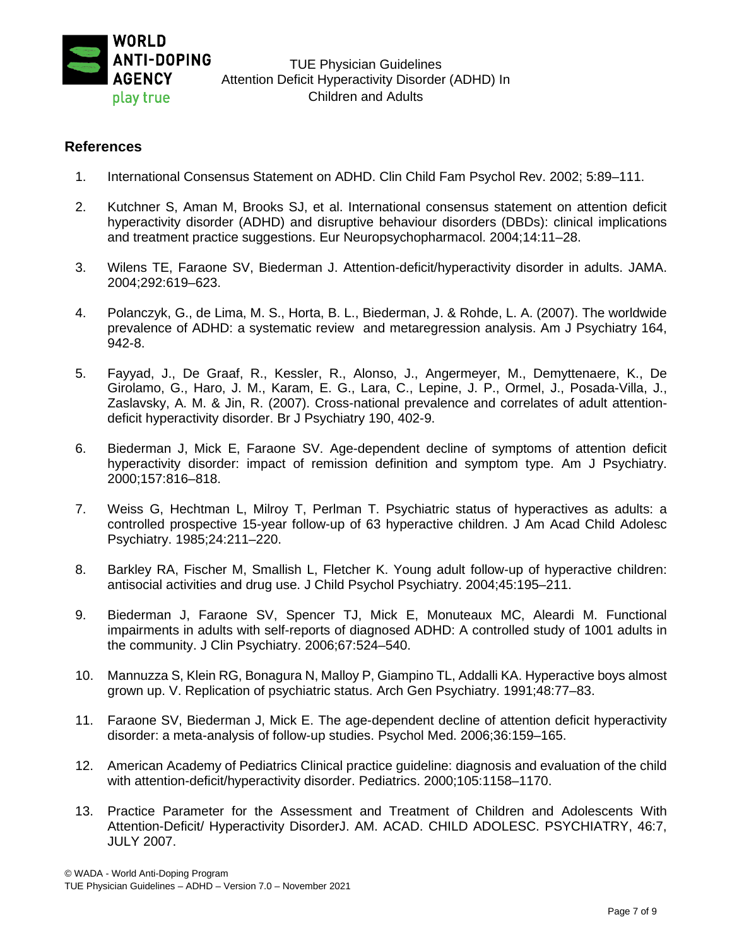

## **References**

- 1. International Consensus Statement on ADHD. Clin Child Fam Psychol Rev. 2002; 5:89–111.
- 2. Kutchner S, Aman M, Brooks SJ, et al. International consensus statement on attention deficit hyperactivity disorder (ADHD) and disruptive behaviour disorders (DBDs): clinical implications and treatment practice suggestions. Eur Neuropsychopharmacol. 2004;14:11–28.
- 3. Wilens TE, Faraone SV, Biederman J. Attention-deficit/hyperactivity disorder in adults. JAMA. 2004;292:619–623.
- 4. Polanczyk, G., de Lima, M. S., Horta, B. L., Biederman, J. & Rohde, L. A. (2007). The worldwide prevalence of ADHD: a systematic review and metaregression analysis. Am J Psychiatry 164, 942-8.
- 5. Fayyad, J., De Graaf, R., Kessler, R., Alonso, J., Angermeyer, M., Demyttenaere, K., De Girolamo, G., Haro, J. M., Karam, E. G., Lara, C., Lepine, J. P., Ormel, J., Posada-Villa, J., Zaslavsky, A. M. & Jin, R. (2007). Cross-national prevalence and correlates of adult attentiondeficit hyperactivity disorder. Br J Psychiatry 190, 402-9.
- 6. Biederman J, Mick E, Faraone SV. Age-dependent decline of symptoms of attention deficit hyperactivity disorder: impact of remission definition and symptom type. Am J Psychiatry. 2000;157:816–818.
- 7. Weiss G, Hechtman L, Milroy T, Perlman T. Psychiatric status of hyperactives as adults: a controlled prospective 15-year follow-up of 63 hyperactive children. J Am Acad Child Adolesc Psychiatry. 1985;24:211–220.
- 8. Barkley RA, Fischer M, Smallish L, Fletcher K. Young adult follow-up of hyperactive children: antisocial activities and drug use. J Child Psychol Psychiatry. 2004;45:195–211.
- 9. Biederman J, Faraone SV, Spencer TJ, Mick E, Monuteaux MC, Aleardi M. Functional impairments in adults with self-reports of diagnosed ADHD: A controlled study of 1001 adults in the community. J Clin Psychiatry. 2006;67:524–540.
- 10. Mannuzza S, Klein RG, Bonagura N, Malloy P, Giampino TL, Addalli KA. Hyperactive boys almost grown up. V. Replication of psychiatric status. Arch Gen Psychiatry. 1991;48:77–83.
- 11. Faraone SV, Biederman J, Mick E. The age-dependent decline of attention deficit hyperactivity disorder: a meta-analysis of follow-up studies. Psychol Med. 2006;36:159–165.
- 12. American Academy of Pediatrics Clinical practice guideline: diagnosis and evaluation of the child with attention-deficit/hyperactivity disorder. Pediatrics. 2000;105:1158–1170.
- 13. Practice Parameter for the Assessment and Treatment of Children and Adolescents With Attention-Deficit/ Hyperactivity DisorderJ. AM. ACAD. CHILD ADOLESC. PSYCHIATRY, 46:7, JULY 2007.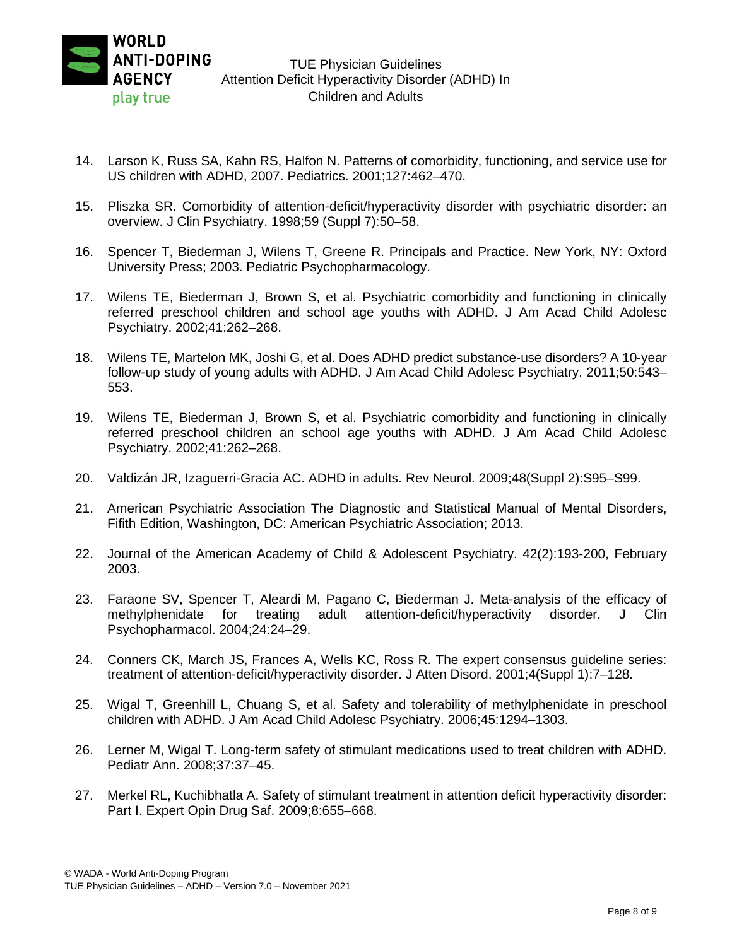

- 14. Larson K, Russ SA, Kahn RS, Halfon N. Patterns of comorbidity, functioning, and service use for US children with ADHD, 2007. Pediatrics. 2001;127:462–470.
- 15. Pliszka SR. Comorbidity of attention-deficit/hyperactivity disorder with psychiatric disorder: an overview. J Clin Psychiatry. 1998;59 (Suppl 7):50–58.
- 16. Spencer T, Biederman J, Wilens T, Greene R. Principals and Practice. New York, NY: Oxford University Press; 2003. Pediatric Psychopharmacology.
- 17. Wilens TE, Biederman J, Brown S, et al. Psychiatric comorbidity and functioning in clinically referred preschool children and school age youths with ADHD. J Am Acad Child Adolesc Psychiatry. 2002;41:262–268.
- 18. Wilens TE, Martelon MK, Joshi G, et al. Does ADHD predict substance-use disorders? A 10-year follow-up study of young adults with ADHD. J Am Acad Child Adolesc Psychiatry. 2011;50:543– 553.
- 19. Wilens TE, Biederman J, Brown S, et al. Psychiatric comorbidity and functioning in clinically referred preschool children an school age youths with ADHD. J Am Acad Child Adolesc Psychiatry. 2002;41:262–268.
- 20. Valdizán JR, Izaguerri-Gracia AC. ADHD in adults. Rev Neurol. 2009;48(Suppl 2):S95–S99.
- 21. American Psychiatric Association The Diagnostic and Statistical Manual of Mental Disorders, Fifith Edition, Washington, DC: American Psychiatric Association; 2013.
- 22. Journal of the American Academy of Child & Adolescent Psychiatry. 42(2):193-200, February 2003.
- 23. Faraone SV, Spencer T, Aleardi M, Pagano C, Biederman J. Meta-analysis of the efficacy of methylphenidate for treating adult attention-deficit/hyperactivity disorder. J Clin Psychopharmacol. 2004;24:24–29.
- 24. Conners CK, March JS, Frances A, Wells KC, Ross R. The expert consensus guideline series: treatment of attention-deficit/hyperactivity disorder. J Atten Disord. 2001;4(Suppl 1):7–128.
- 25. Wigal T, Greenhill L, Chuang S, et al. Safety and tolerability of methylphenidate in preschool children with ADHD. J Am Acad Child Adolesc Psychiatry. 2006;45:1294–1303.
- 26. Lerner M, Wigal T. Long-term safety of stimulant medications used to treat children with ADHD. Pediatr Ann. 2008;37:37–45.
- 27. Merkel RL, Kuchibhatla A. Safety of stimulant treatment in attention deficit hyperactivity disorder: Part I. Expert Opin Drug Saf. 2009;8:655–668.